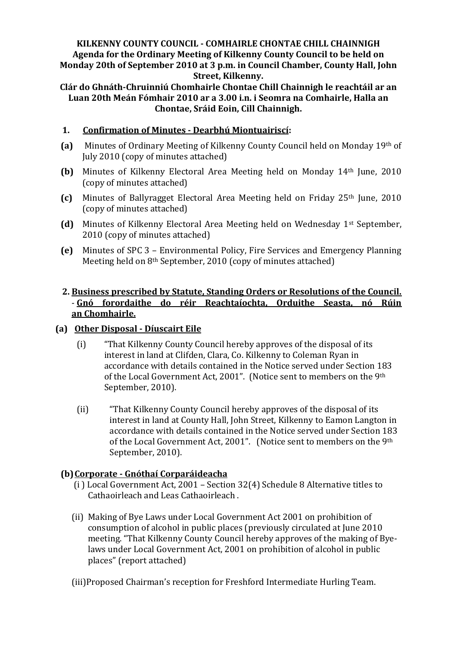## **KILKENNY COUNTY COUNCIL - COMHAIRLE CHONTAE CHILL CHAINNIGH Agenda for the Ordinary Meeting of Kilkenny County Council to be held on Monday 20th of September 2010 at 3 p.m. in Council Chamber, County Hall, John Street, Kilkenny.**

**Clár do Ghnáth-Chruinniú Chomhairle Chontae Chill Chainnigh le reachtáil ar an Luan 20th Meán Fómhair 2010 ar a 3.00 i.n. i Seomra na Comhairle, Halla an Chontae, Sráid Eoin, Cill Chainnigh.**

## **1. Confirmation of Minutes - Dearbhú Miontuairiscí:**

- **(a)** Minutes of Ordinary Meeting of Kilkenny County Council held on Monday 19th of July 2010 (copy of minutes attached)
- **(b)** Minutes of Kilkenny Electoral Area Meeting held on Monday 14th June, 2010 (copy of minutes attached)
- **(c)** Minutes of Ballyragget Electoral Area Meeting held on Friday 25th June, 2010 (copy of minutes attached)
- **(d)** Minutes of Kilkenny Electoral Area Meeting held on Wednesday 1st September, 2010 (copy of minutes attached)
- **(e)** Minutes of SPC 3 Environmental Policy, Fire Services and Emergency Planning Meeting held on 8th September, 2010 (copy of minutes attached)

## **2. Business prescribed by Statute, Standing Orders or Resolutions of the Council.** - **Gnó forordaithe do réir Reachtaíochta, Orduithe Seasta, nó Rúin an Chomhairle.**

## **(a) Other Disposal - Díuscairt Eile**

- (i) "That Kilkenny County Council hereby approves of the disposal of its interest in land at Clifden, Clara, Co. Kilkenny to Coleman Ryan in accordance with details contained in the Notice served under Section 183 of the Local Government Act, 2001". (Notice sent to members on the 9th September, 2010).
- (ii) "That Kilkenny County Council hereby approves of the disposal of its interest in land at County Hall, John Street, Kilkenny to Eamon Langton in accordance with details contained in the Notice served under Section 183 of the Local Government Act, 2001". (Notice sent to members on the 9th September, 2010).

# **(b)Corporate - Gnóthaí Corparáideacha**

- (i ) Local Government Act, 2001 Section 32(4) Schedule 8 Alternative titles to Cathaoirleach and Leas Cathaoirleach .
- (ii) Making of Bye Laws under Local Government Act 2001 on prohibition of consumption of alcohol in public places (previously circulated at June 2010 meeting. "That Kilkenny County Council hereby approves of the making of Byelaws under Local Government Act, 2001 on prohibition of alcohol in public places" (report attached)
- (iii)Proposed Chairman's reception for Freshford Intermediate Hurling Team.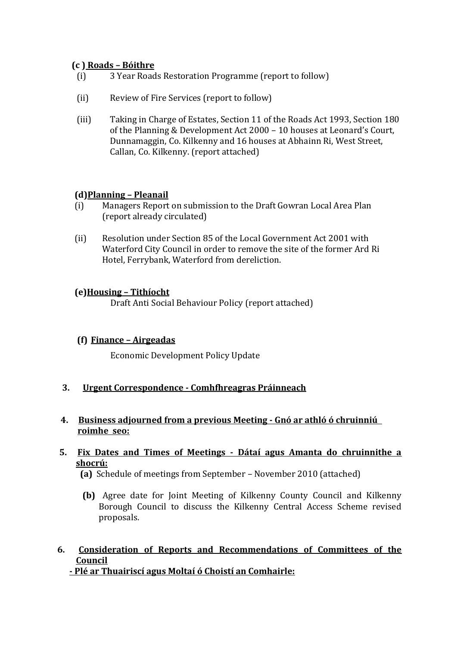# **(c ) Roads – Bóithre**

- (i) 3 Year Roads Restoration Programme (report to follow)
- (ii) Review of Fire Services (report to follow)
- (iii) Taking in Charge of Estates, Section 11 of the Roads Act 1993, Section 180 of the Planning & Development Act 2000 – 10 houses at Leonard's Court, Dunnamaggin, Co. Kilkenny and 16 houses at Abhainn Ri, West Street, Callan, Co. Kilkenny. (report attached)

## **(d)Planning – Pleanail**

- (i) Managers Report on submission to the Draft Gowran Local Area Plan (report already circulated)
- (ii) Resolution under Section 85 of the Local Government Act 2001 with Waterford City Council in order to remove the site of the former Ard Ri Hotel, Ferrybank, Waterford from dereliction.

## **(e)Housing – Tithíocht**

Draft Anti Social Behaviour Policy (report attached)

## **(f) Finance – Airgeadas**

Economic Development Policy Update

**3. Urgent Correspondence - Comhfhreagras Práinneach**

#### **4. Business adjourned from a previous Meeting - Gnó ar athló ó chruinniú roimhe seo:**

#### **5. Fix Dates and Times of Meetings - Dátaí agus Amanta do chruinnithe a shocrú:**

 **(a)** Schedule of meetings from September – November 2010 (attached)

**(b)** Agree date for Joint Meeting of Kilkenny County Council and Kilkenny Borough Council to discuss the Kilkenny Central Access Scheme revised proposals.

#### **6. Consideration of Reports and Recommendations of Committees of the Council - Plé ar Thuairiscí agus Moltaí ó Choistí an Comhairle:**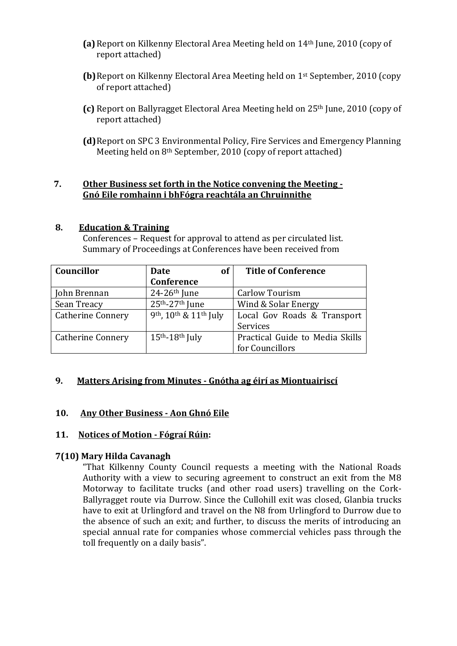- **(a)**Report on Kilkenny Electoral Area Meeting held on 14th June, 2010 (copy of report attached)
- **(b)**Report on Kilkenny Electoral Area Meeting held on 1st September, 2010 (copy of report attached)
- **(c)** Report on Ballyragget Electoral Area Meeting held on 25th June, 2010 (copy of report attached)
- **(d)**Report on SPC 3 Environmental Policy, Fire Services and Emergency Planning Meeting held on 8th September, 2010 (copy of report attached)

## **7. Other Business set forth in the Notice convening the Meeting - Gnó Eile romhainn i bhFógra reachtála an Chruinnithe**

## **8. Education & Training**

Conferences – Request for approval to attend as per circulated list. Summary of Proceedings at Conferences have been received from

| Councillor               | <b>of</b><br>Date          | <b>Title of Conference</b>      |
|--------------------------|----------------------------|---------------------------------|
|                          | Conference                 |                                 |
| John Brennan             | $24-26$ <sup>th</sup> June | <b>Carlow Tourism</b>           |
| Sean Treacy              | 25th-27th June             | Wind & Solar Energy             |
| <b>Catherine Connery</b> | 9th, 10th & 11th July      | Local Gov Roads & Transport     |
|                          |                            | Services                        |
| <b>Catherine Connery</b> | $15th - 18th$ July         | Practical Guide to Media Skills |
|                          |                            | for Councillors                 |

# **9. Matters Arising from Minutes - Gnótha ag éirí as Miontuairiscí**

## **10. Any Other Business - Aon Ghnó Eile**

## **11. Notices of Motion - Fógraí Rúin:**

## **7(10) Mary Hilda Cavanagh**

"That Kilkenny County Council requests a meeting with the National Roads Authority with a view to securing agreement to construct an exit from the M8 Motorway to facilitate trucks (and other road users) travelling on the Cork-Ballyragget route via Durrow. Since the Cullohill exit was closed, Glanbia trucks have to exit at Urlingford and travel on the N8 from Urlingford to Durrow due to the absence of such an exit; and further, to discuss the merits of introducing an special annual rate for companies whose commercial vehicles pass through the toll frequently on a daily basis".